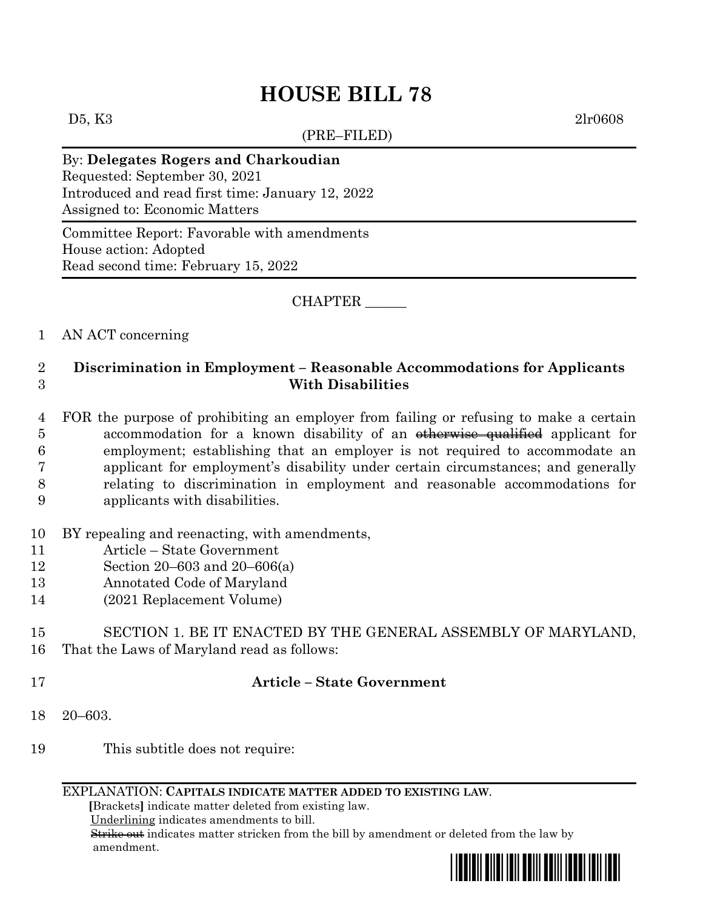# **HOUSE BILL 78**

 $(DDE, EIF, EDE)$ 

D5, K3 2lr0608

| $(RE-FILED)$                                                                                                                                               |
|------------------------------------------------------------------------------------------------------------------------------------------------------------|
| By: Delegates Rogers and Charkoudian<br>Requested: September 30, 2021<br>Introduced and read first time: January 12, 2022<br>Assigned to: Economic Matters |
| Committee Report: Favorable with amendments<br>House action: Adopted<br>Read second time: February 15, 2022                                                |

#### CHAPTER \_\_\_\_\_\_

## 1 AN ACT concerning

## 2 **Discrimination in Employment – Reasonable Accommodations for Applicants**  3 **With Disabilities**

- 4 FOR the purpose of prohibiting an employer from failing or refusing to make a certain 5 accommodation for a known disability of an <del>otherwise qualified</del> applicant for 6 employment; establishing that an employer is not required to accommodate an 7 applicant for employment's disability under certain circumstances; and generally 8 relating to discrimination in employment and reasonable accommodations for 9 applicants with disabilities.
- 10 BY repealing and reenacting, with amendments,
- 11 Article State Government
- 12 Section 20–603 and 20–606(a)
- 13 Annotated Code of Maryland
- 14 (2021 Replacement Volume)

## 15 SECTION 1. BE IT ENACTED BY THE GENERAL ASSEMBLY OF MARYLAND, 16 That the Laws of Maryland read as follows:

## 17 **Article – State Government**

- 18 20–603.
- 19 This subtitle does not require:

#### EXPLANATION: **CAPITALS INDICATE MATTER ADDED TO EXISTING LAW**.

 **[**Brackets**]** indicate matter deleted from existing law.

Underlining indicates amendments to bill.

 Strike out indicates matter stricken from the bill by amendment or deleted from the law by amendment.

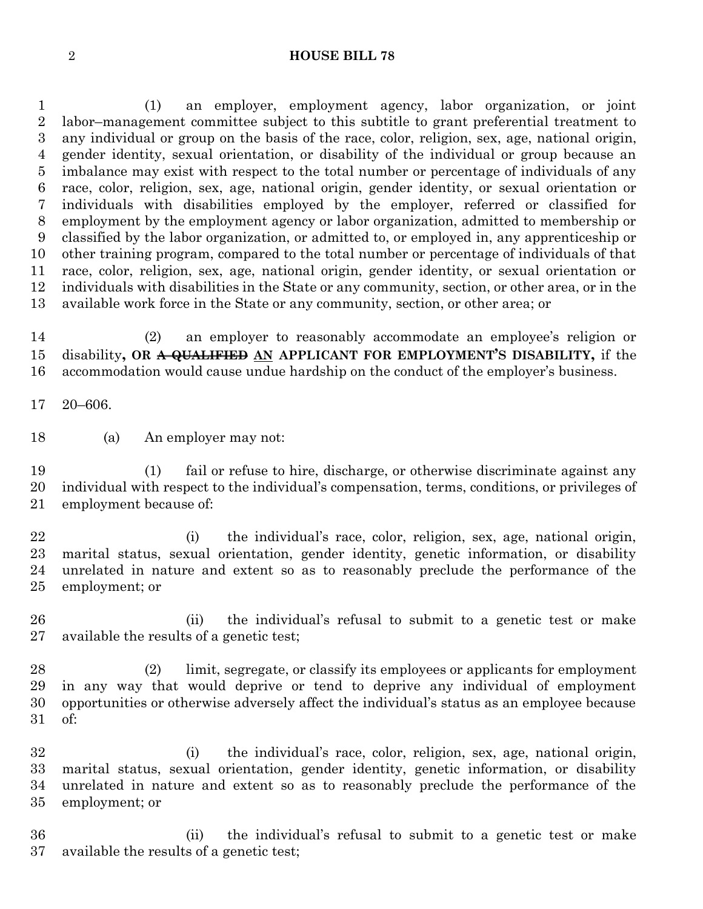#### **HOUSE BILL 78**

 (1) an employer, employment agency, labor organization, or joint labor–management committee subject to this subtitle to grant preferential treatment to any individual or group on the basis of the race, color, religion, sex, age, national origin, gender identity, sexual orientation, or disability of the individual or group because an imbalance may exist with respect to the total number or percentage of individuals of any race, color, religion, sex, age, national origin, gender identity, or sexual orientation or individuals with disabilities employed by the employer, referred or classified for employment by the employment agency or labor organization, admitted to membership or classified by the labor organization, or admitted to, or employed in, any apprenticeship or other training program, compared to the total number or percentage of individuals of that race, color, religion, sex, age, national origin, gender identity, or sexual orientation or individuals with disabilities in the State or any community, section, or other area, or in the available work force in the State or any community, section, or other area; or

 (2) an employer to reasonably accommodate an employee's religion or disability**, OR A QUALIFIED AN APPLICANT FOR EMPLOYMENT'S DISABILITY,** if the accommodation would cause undue hardship on the conduct of the employer's business.

20–606.

(a) An employer may not:

 (1) fail or refuse to hire, discharge, or otherwise discriminate against any individual with respect to the individual's compensation, terms, conditions, or privileges of employment because of:

 (i) the individual's race, color, religion, sex, age, national origin, marital status, sexual orientation, gender identity, genetic information, or disability unrelated in nature and extent so as to reasonably preclude the performance of the employment; or

 (ii) the individual's refusal to submit to a genetic test or make available the results of a genetic test;

 (2) limit, segregate, or classify its employees or applicants for employment in any way that would deprive or tend to deprive any individual of employment opportunities or otherwise adversely affect the individual's status as an employee because of:

 (i) the individual's race, color, religion, sex, age, national origin, marital status, sexual orientation, gender identity, genetic information, or disability unrelated in nature and extent so as to reasonably preclude the performance of the employment; or

 (ii) the individual's refusal to submit to a genetic test or make available the results of a genetic test;